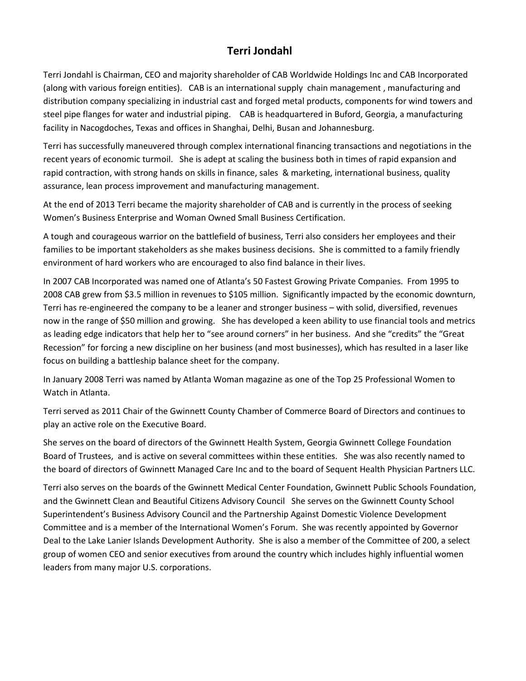## **Terri Jondahl**

Terri Jondahl is Chairman, CEO and majority shareholder of CAB Worldwide Holdings Inc and CAB Incorporated (along with various foreign entities). CAB is an international supply chain management , manufacturing and distribution company specializing in industrial cast and forged metal products, components for wind towers and steel pipe flanges for water and industrial piping. CAB is headquartered in Buford, Georgia, a manufacturing facility in Nacogdoches, Texas and offices in Shanghai, Delhi, Busan and Johannesburg.

Terri has successfully maneuvered through complex international financing transactions and negotiations in the recent years of economic turmoil. She is adept at scaling the business both in times of rapid expansion and rapid contraction, with strong hands on skills in finance, sales & marketing, international business, quality assurance, lean process improvement and manufacturing management.

At the end of 2013 Terri became the majority shareholder of CAB and is currently in the process of seeking Women's Business Enterprise and Woman Owned Small Business Certification.

A tough and courageous warrior on the battlefield of business, Terri also considers her employees and their families to be important stakeholders as she makes business decisions. She is committed to a family friendly environment of hard workers who are encouraged to also find balance in their lives.

In 2007 CAB Incorporated was named one of Atlanta's 50 Fastest Growing Private Companies. From 1995 to 2008 CAB grew from \$3.5 million in revenues to \$105 million. Significantly impacted by the economic downturn, Terri has re-engineered the company to be a leaner and stronger business – with solid, diversified, revenues now in the range of \$50 million and growing. She has developed a keen ability to use financial tools and metrics as leading edge indicators that help her to "see around corners" in her business. And she "credits" the "Great Recession" for forcing a new discipline on her business (and most businesses), which has resulted in a laser like focus on building a battleship balance sheet for the company.

In January 2008 Terri was named by Atlanta Woman magazine as one of the Top 25 Professional Women to Watch in Atlanta.

Terri served as 2011 Chair of the Gwinnett County Chamber of Commerce Board of Directors and continues to play an active role on the Executive Board.

She serves on the board of directors of the Gwinnett Health System, Georgia Gwinnett College Foundation Board of Trustees, and is active on several committees within these entities. She was also recently named to the board of directors of Gwinnett Managed Care Inc and to the board of Sequent Health Physician Partners LLC.

Terri also serves on the boards of the Gwinnett Medical Center Foundation, Gwinnett Public Schools Foundation, and the Gwinnett Clean and Beautiful Citizens Advisory Council She serves on the Gwinnett County School Superintendent's Business Advisory Council and the Partnership Against Domestic Violence Development Committee and is a member of the International Women's Forum. She was recently appointed by Governor Deal to the Lake Lanier Islands Development Authority. She is also a member of the Committee of 200, a select group of women CEO and senior executives from around the country which includes highly influential women leaders from many major U.S. corporations.